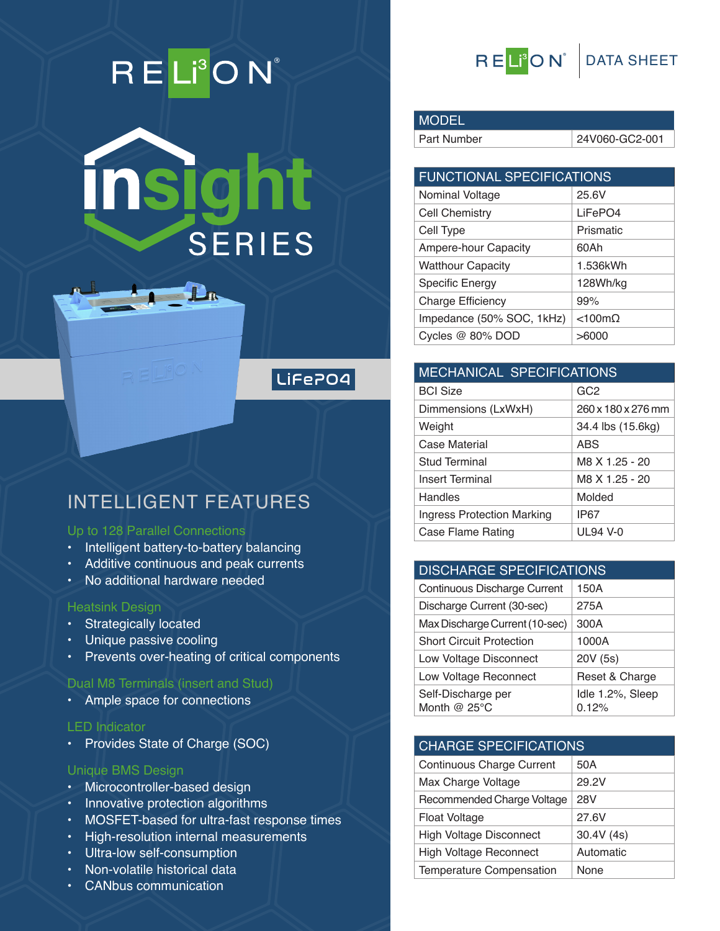# RELI<sup>3</sup>ON®



# LiFePO4

# INTELLIGENT FEATURES

#### **Up to 128 Parallel Connections**

- Intelligent battery-to-battery balancing
- Additive continuous and peak currents
- No additional hardware needed

#### **Heatsink Design**

- Strategically located
- Unique passive cooling
- Prevents over-heating of critical components

#### **Dual M8 Terminals (insert and Stud)**

• Ample space for connections

#### **LED Indicator**

• Provides State of Charge (SOC)

#### **Unique BMS Design**

- Microcontroller-based design
- Innovative protection algorithms
- MOSFET-based for ultra-fast response times
- High-resolution internal measurements
- Ultra-low self-consumption
- Non-volatile historical data
- CANbus communication



## **MODEL**

Part Number 24V060-GC2-001

| <b>FUNCTIONAL SPECIFICATIONS</b> |                   |  |
|----------------------------------|-------------------|--|
| Nominal Voltage                  | 25.6V             |  |
| Cell Chemistry                   | LiFePO4           |  |
| Cell Type                        | Prismatic         |  |
| Ampere-hour Capacity             | 60Ah              |  |
| <b>Watthour Capacity</b>         | 1.536kWh          |  |
| <b>Specific Energy</b>           | 128Wh/kg          |  |
| <b>Charge Efficiency</b>         | 99%               |  |
| Impedance (50% SOC, 1kHz)        | $<$ 100m $\Omega$ |  |
| Cycles @ 80% DOD                 | >6000             |  |

|  |                                   | <b>MECHANICAL SPECIFICATIONS</b> |  |  |
|--|-----------------------------------|----------------------------------|--|--|
|  | <b>BCI Size</b>                   | GC <sub>2</sub>                  |  |  |
|  | Dimmensions (LxWxH)               | 260 x 180 x 276 mm               |  |  |
|  | Weight                            | 34.4 lbs (15.6kg)                |  |  |
|  | Case Material                     | <b>ABS</b>                       |  |  |
|  | Stud Terminal                     | M8 X 1.25 - 20                   |  |  |
|  | <b>Insert Terminal</b>            | M8 X 1.25 - 20                   |  |  |
|  | Handles                           | Molded                           |  |  |
|  | <b>Ingress Protection Marking</b> | IP67                             |  |  |
|  | Case Flame Rating                 | UL 94 V-0                        |  |  |

#### **DISCHARGE SPECIFICATIONS** cotinuous Discharge Current

| <b>CONTINUOUS DISCHARGE CUITENT</b>          | I JUA                     |  |  |
|----------------------------------------------|---------------------------|--|--|
| Discharge Current (30-sec)                   | 275A                      |  |  |
| Max Discharge Current (10-sec)               | 300A                      |  |  |
| <b>Short Circuit Protection</b>              | 1000A                     |  |  |
| Low Voltage Disconnect                       | 20V (5s)                  |  |  |
| Low Voltage Reconnect                        | Reset & Charge            |  |  |
| Self-Discharge per<br>Month @ $25^{\circ}$ C | Idle 1.2%, Sleep<br>0.12% |  |  |

#### **CHARGE SPECIFICATIONS**

| <b>Continuous Charge Current</b> | 50A       |
|----------------------------------|-----------|
| Max Charge Voltage               | 29.2V     |
| Recommended Charge Voltage       | 28V       |
| <b>Float Voltage</b>             | 27.6V     |
| <b>High Voltage Disconnect</b>   | 30.4V(4s) |
| High Voltage Reconnect           | Automatic |
| Temperature Compensation         | None      |